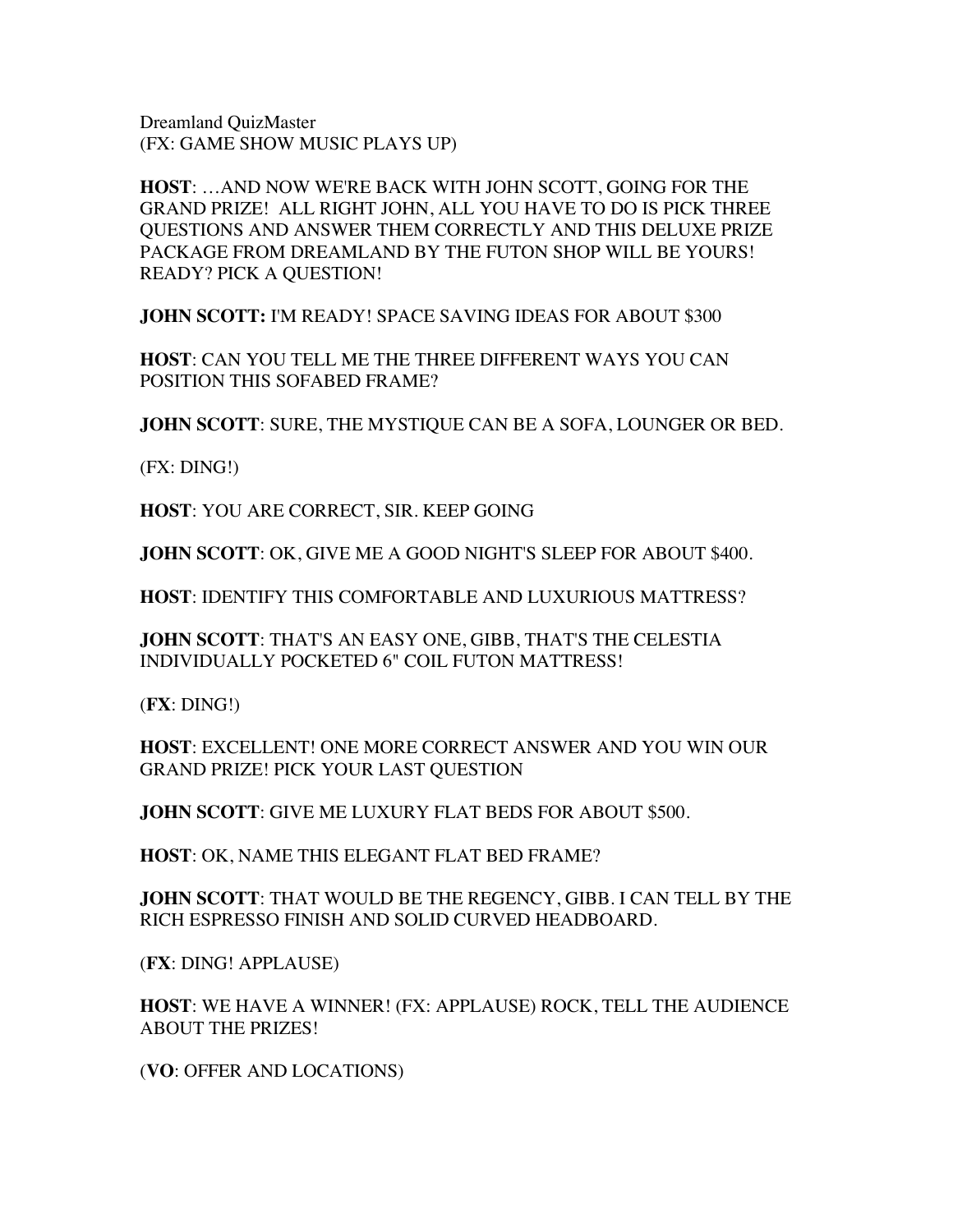Dreamland QuizMaster (FX: GAME SHOW MUSIC PLAYS UP)

**HOST**: …AND NOW WE'RE BACK WITH JOHN SCOTT, GOING FOR THE GRAND PRIZE! ALL RIGHT JOHN, ALL YOU HAVE TO DO IS PICK THREE QUESTIONS AND ANSWER THEM CORRECTLY AND THIS DELUXE PRIZE PACKAGE FROM DREAMLAND BY THE FUTON SHOP WILL BE YOURS! READY? PICK A QUESTION!

**JOHN SCOTT:** I'M READY! SPACE SAVING IDEAS FOR ABOUT \$300

**HOST**: CAN YOU TELL ME THE THREE DIFFERENT WAYS YOU CAN POSITION THIS SOFABED FRAME?

**JOHN SCOTT**: SURE, THE MYSTIQUE CAN BE A SOFA, LOUNGER OR BED.

(FX: DING!)

**HOST**: YOU ARE CORRECT, SIR. KEEP GOING

**JOHN SCOTT**: OK, GIVE ME A GOOD NIGHT'S SLEEP FOR ABOUT \$400.

**HOST**: IDENTIFY THIS COMFORTABLE AND LUXURIOUS MATTRESS?

**JOHN SCOTT**: THAT'S AN EASY ONE, GIBB, THAT'S THE CELESTIA INDIVIDUALLY POCKETED 6" COIL FUTON MATTRESS!

(**FX**: DING!)

**HOST**: EXCELLENT! ONE MORE CORRECT ANSWER AND YOU WIN OUR GRAND PRIZE! PICK YOUR LAST QUESTION

**JOHN SCOTT**: GIVE ME LUXURY FLAT BEDS FOR ABOUT \$500.

**HOST**: OK, NAME THIS ELEGANT FLAT BED FRAME?

**JOHN SCOTT**: THAT WOULD BE THE REGENCY, GIBB. I CAN TELL BY THE RICH ESPRESSO FINISH AND SOLID CURVED HEADBOARD.

(**FX**: DING! APPLAUSE)

**HOST**: WE HAVE A WINNER! (FX: APPLAUSE) ROCK, TELL THE AUDIENCE ABOUT THE PRIZES!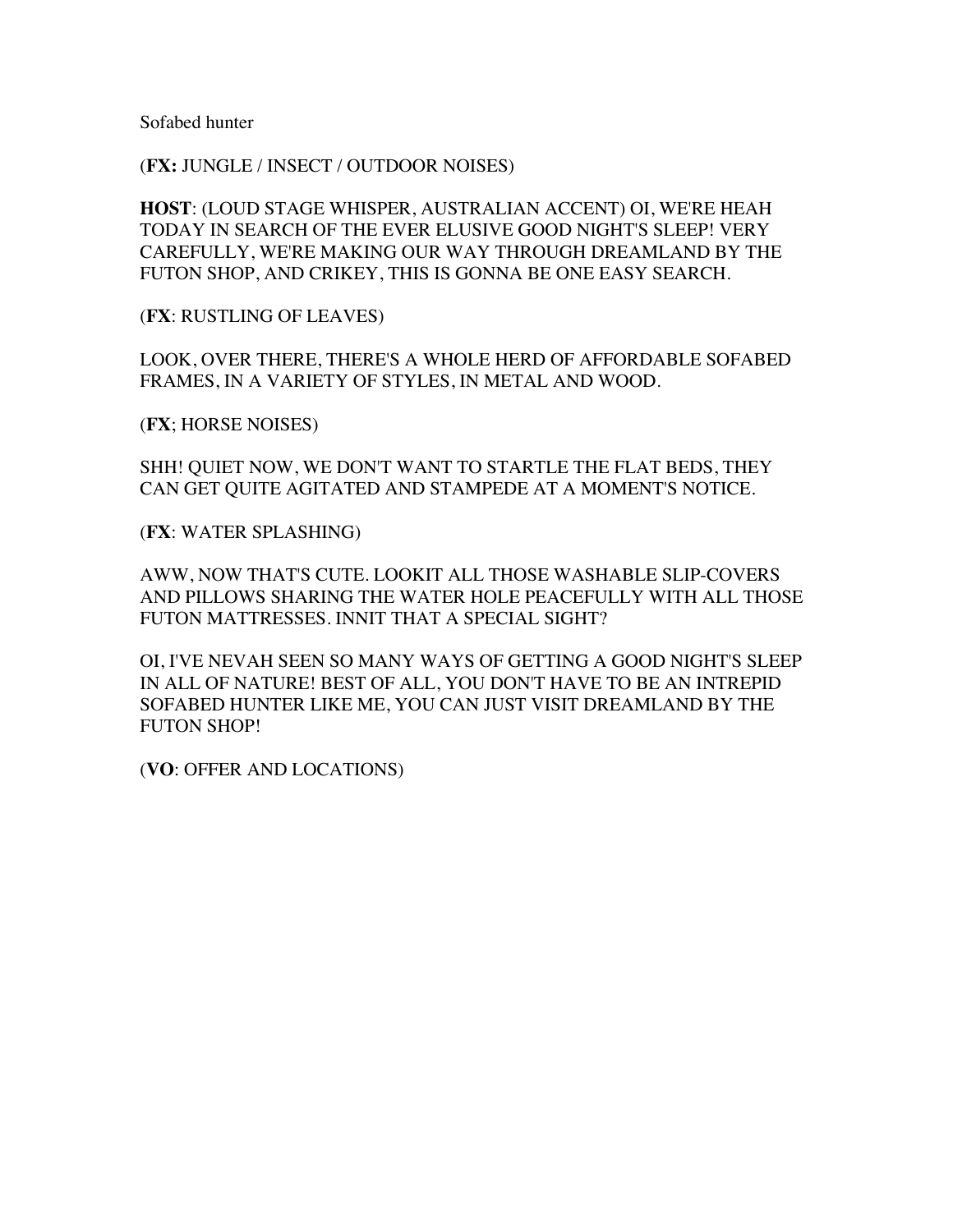Sofabed hunter

(**FX:** JUNGLE / INSECT / OUTDOOR NOISES)

**HOST**: (LOUD STAGE WHISPER, AUSTRALIAN ACCENT) OI, WE'RE HEAH TODAY IN SEARCH OF THE EVER ELUSIVE GOOD NIGHT'S SLEEP! VERY CAREFULLY, WE'RE MAKING OUR WAY THROUGH DREAMLAND BY THE FUTON SHOP, AND CRIKEY, THIS IS GONNA BE ONE EASY SEARCH.

(**FX**: RUSTLING OF LEAVES)

LOOK, OVER THERE, THERE'S A WHOLE HERD OF AFFORDABLE SOFABED FRAMES, IN A VARIETY OF STYLES, IN METAL AND WOOD.

(**FX**; HORSE NOISES)

SHH! QUIET NOW, WE DON'T WANT TO STARTLE THE FLAT BEDS, THEY CAN GET QUITE AGITATED AND STAMPEDE AT A MOMENT'S NOTICE.

(**FX**: WATER SPLASHING)

AWW, NOW THAT'S CUTE. LOOKIT ALL THOSE WASHABLE SLIP-COVERS AND PILLOWS SHARING THE WATER HOLE PEACEFULLY WITH ALL THOSE FUTON MATTRESSES. INNIT THAT A SPECIAL SIGHT?

OI, I'VE NEVAH SEEN SO MANY WAYS OF GETTING A GOOD NIGHT'S SLEEP IN ALL OF NATURE! BEST OF ALL, YOU DON'T HAVE TO BE AN INTREPID SOFABED HUNTER LIKE ME, YOU CAN JUST VISIT DREAMLAND BY THE FUTON SHOP!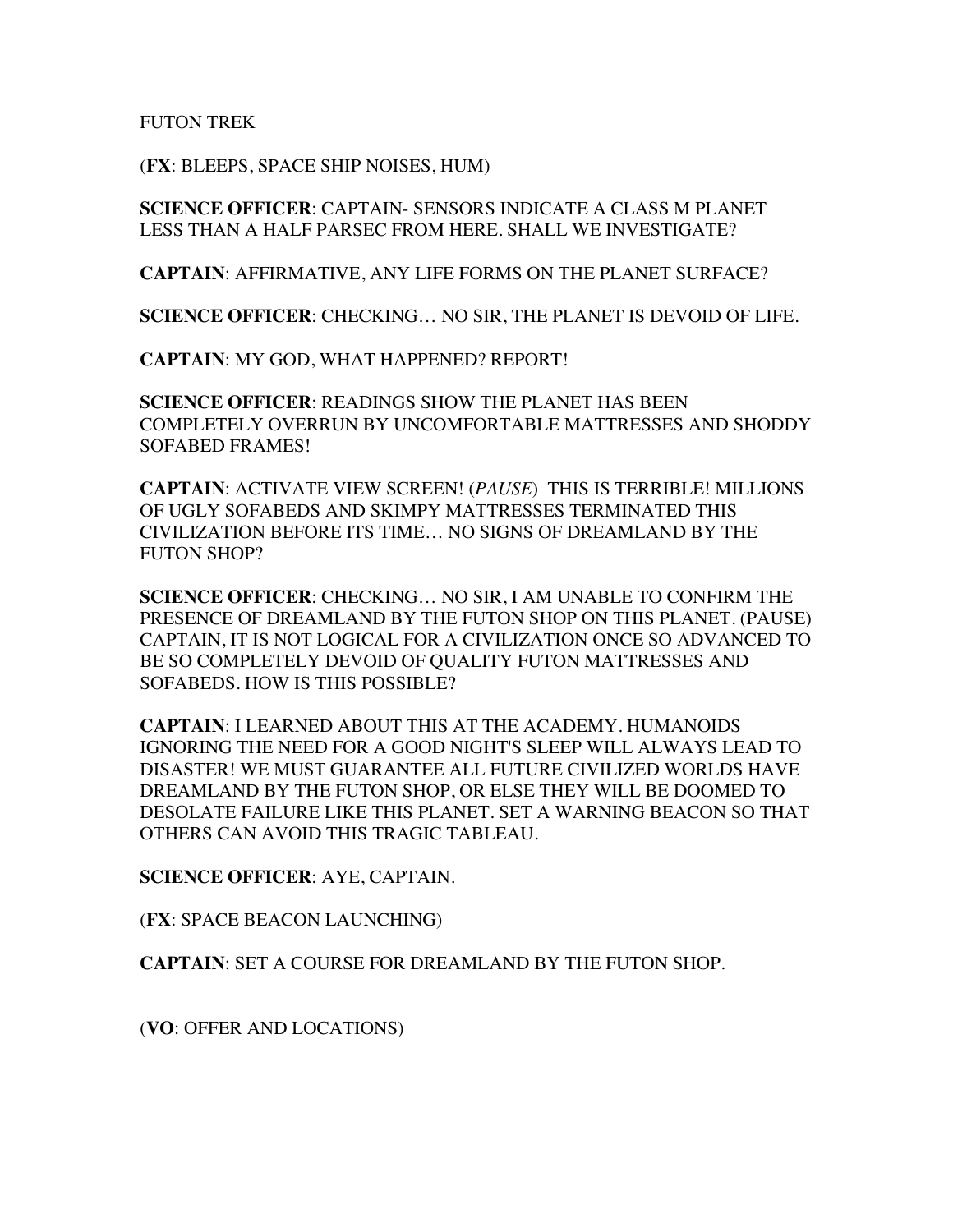FUTON TREK

(**FX**: BLEEPS, SPACE SHIP NOISES, HUM)

**SCIENCE OFFICER**: CAPTAIN- SENSORS INDICATE A CLASS M PLANET LESS THAN A HALF PARSEC FROM HERE. SHALL WE INVESTIGATE?

**CAPTAIN**: AFFIRMATIVE, ANY LIFE FORMS ON THE PLANET SURFACE?

**SCIENCE OFFICER**: CHECKING… NO SIR, THE PLANET IS DEVOID OF LIFE.

**CAPTAIN**: MY GOD, WHAT HAPPENED? REPORT!

**SCIENCE OFFICER**: READINGS SHOW THE PLANET HAS BEEN COMPLETELY OVERRUN BY UNCOMFORTABLE MATTRESSES AND SHODDY SOFABED FRAMES!

**CAPTAIN**: ACTIVATE VIEW SCREEN! (*PAUSE*) THIS IS TERRIBLE! MILLIONS OF UGLY SOFABEDS AND SKIMPY MATTRESSES TERMINATED THIS CIVILIZATION BEFORE ITS TIME… NO SIGNS OF DREAMLAND BY THE FUTON SHOP?

**SCIENCE OFFICER**: CHECKING… NO SIR, I AM UNABLE TO CONFIRM THE PRESENCE OF DREAMLAND BY THE FUTON SHOP ON THIS PLANET. (PAUSE) CAPTAIN, IT IS NOT LOGICAL FOR A CIVILIZATION ONCE SO ADVANCED TO BE SO COMPLETELY DEVOID OF QUALITY FUTON MATTRESSES AND SOFABEDS. HOW IS THIS POSSIBLE?

**CAPTAIN**: I LEARNED ABOUT THIS AT THE ACADEMY. HUMANOIDS IGNORING THE NEED FOR A GOOD NIGHT'S SLEEP WILL ALWAYS LEAD TO DISASTER! WE MUST GUARANTEE ALL FUTURE CIVILIZED WORLDS HAVE DREAMLAND BY THE FUTON SHOP, OR ELSE THEY WILL BE DOOMED TO DESOLATE FAILURE LIKE THIS PLANET. SET A WARNING BEACON SO THAT OTHERS CAN AVOID THIS TRAGIC TABLEAU.

**SCIENCE OFFICER**: AYE, CAPTAIN.

(**FX**: SPACE BEACON LAUNCHING)

**CAPTAIN**: SET A COURSE FOR DREAMLAND BY THE FUTON SHOP.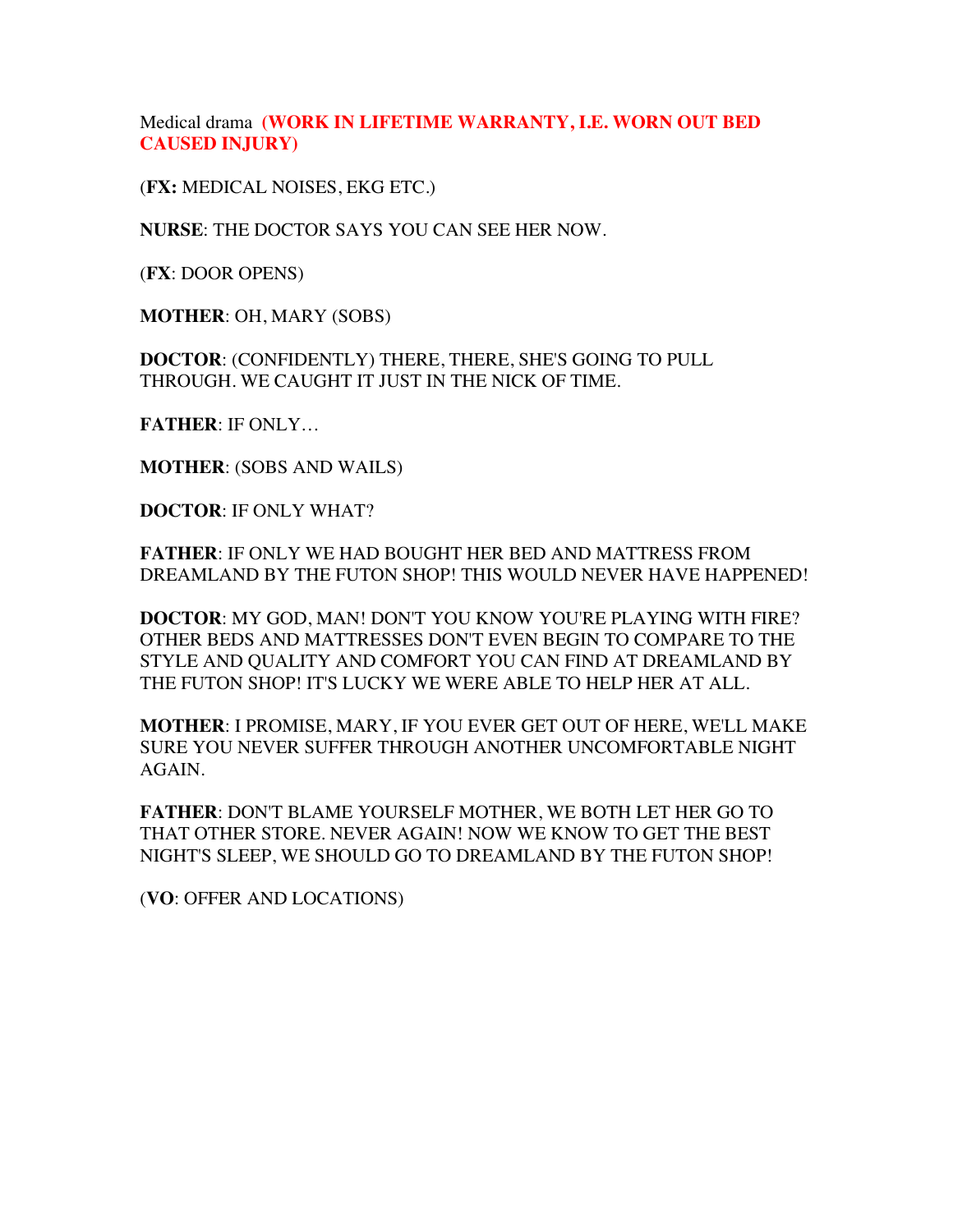Medical drama **(WORK IN LIFETIME WARRANTY, I.E. WORN OUT BED CAUSED INJURY)**

(**FX:** MEDICAL NOISES, EKG ETC.)

**NURSE**: THE DOCTOR SAYS YOU CAN SEE HER NOW.

(**FX**: DOOR OPENS)

**MOTHER**: OH, MARY (SOBS)

**DOCTOR**: (CONFIDENTLY) THERE, THERE, SHE'S GOING TO PULL THROUGH. WE CAUGHT IT JUST IN THE NICK OF TIME.

**FATHER**: IF ONLY…

**MOTHER**: (SOBS AND WAILS)

**DOCTOR**: IF ONLY WHAT?

**FATHER**: IF ONLY WE HAD BOUGHT HER BED AND MATTRESS FROM DREAMLAND BY THE FUTON SHOP! THIS WOULD NEVER HAVE HAPPENED!

**DOCTOR**: MY GOD, MAN! DON'T YOU KNOW YOU'RE PLAYING WITH FIRE? OTHER BEDS AND MATTRESSES DON'T EVEN BEGIN TO COMPARE TO THE STYLE AND QUALITY AND COMFORT YOU CAN FIND AT DREAMLAND BY THE FUTON SHOP! IT'S LUCKY WE WERE ABLE TO HELP HER AT ALL.

**MOTHER**: I PROMISE, MARY, IF YOU EVER GET OUT OF HERE, WE'LL MAKE SURE YOU NEVER SUFFER THROUGH ANOTHER UNCOMFORTABLE NIGHT AGAIN.

**FATHER**: DON'T BLAME YOURSELF MOTHER, WE BOTH LET HER GO TO THAT OTHER STORE. NEVER AGAIN! NOW WE KNOW TO GET THE BEST NIGHT'S SLEEP, WE SHOULD GO TO DREAMLAND BY THE FUTON SHOP!